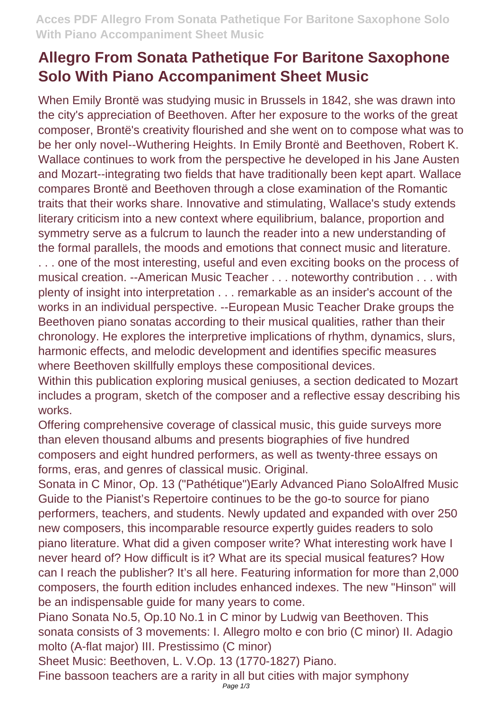## **Allegro From Sonata Pathetique For Baritone Saxophone Solo With Piano Accompaniment Sheet Music**

When Emily Brontë was studying music in Brussels in 1842, she was drawn into the city's appreciation of Beethoven. After her exposure to the works of the great composer, Brontë's creativity flourished and she went on to compose what was to be her only novel--Wuthering Heights. In Emily Brontë and Beethoven, Robert K. Wallace continues to work from the perspective he developed in his Jane Austen and Mozart--integrating two fields that have traditionally been kept apart. Wallace compares Brontë and Beethoven through a close examination of the Romantic traits that their works share. Innovative and stimulating, Wallace's study extends literary criticism into a new context where equilibrium, balance, proportion and symmetry serve as a fulcrum to launch the reader into a new understanding of the formal parallels, the moods and emotions that connect music and literature. . . . one of the most interesting, useful and even exciting books on the process of musical creation. --American Music Teacher . . . noteworthy contribution . . . with plenty of insight into interpretation . . . remarkable as an insider's account of the works in an individual perspective. --European Music Teacher Drake groups the Beethoven piano sonatas according to their musical qualities, rather than their chronology. He explores the interpretive implications of rhythm, dynamics, slurs, harmonic effects, and melodic development and identifies specific measures where Beethoven skillfully employs these compositional devices.

Within this publication exploring musical geniuses, a section dedicated to Mozart includes a program, sketch of the composer and a reflective essay describing his works.

Offering comprehensive coverage of classical music, this guide surveys more than eleven thousand albums and presents biographies of five hundred composers and eight hundred performers, as well as twenty-three essays on forms, eras, and genres of classical music. Original.

Sonata in C Minor, Op. 13 ("Pathétique")Early Advanced Piano SoloAlfred Music Guide to the Pianist's Repertoire continues to be the go-to source for piano performers, teachers, and students. Newly updated and expanded with over 250 new composers, this incomparable resource expertly guides readers to solo piano literature. What did a given composer write? What interesting work have I never heard of? How difficult is it? What are its special musical features? How can I reach the publisher? It's all here. Featuring information for more than 2,000 composers, the fourth edition includes enhanced indexes. The new "Hinson" will be an indispensable guide for many years to come.

Piano Sonata No.5, Op.10 No.1 in C minor by Ludwig van Beethoven. This sonata consists of 3 movements: I. Allegro molto e con brio (C minor) II. Adagio molto (A-flat major) III. Prestissimo (C minor)

Sheet Music: Beethoven, L. V.Op. 13 (1770-1827) Piano.

Fine bassoon teachers are a rarity in all but cities with major symphony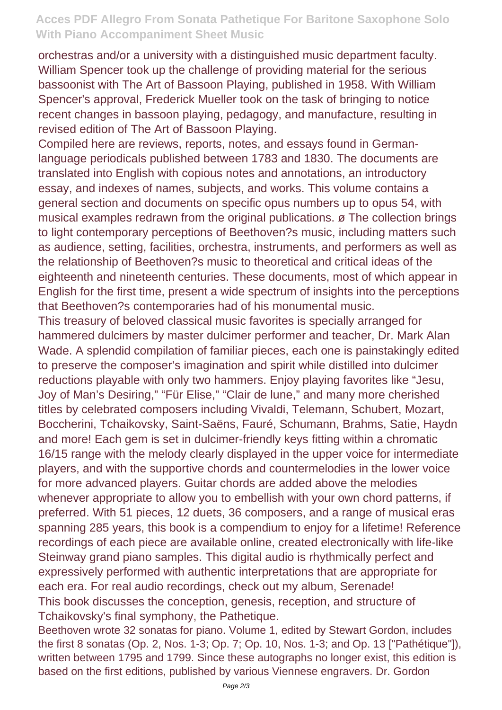## **Acces PDF Allegro From Sonata Pathetique For Baritone Saxophone Solo With Piano Accompaniment Sheet Music**

orchestras and/or a university with a distinguished music department faculty. William Spencer took up the challenge of providing material for the serious bassoonist with The Art of Bassoon Playing, published in 1958. With William Spencer's approval, Frederick Mueller took on the task of bringing to notice recent changes in bassoon playing, pedagogy, and manufacture, resulting in revised edition of The Art of Bassoon Playing.

Compiled here are reviews, reports, notes, and essays found in Germanlanguage periodicals published between 1783 and 1830. The documents are translated into English with copious notes and annotations, an introductory essay, and indexes of names, subjects, and works. This volume contains a general section and documents on specific opus numbers up to opus 54, with musical examples redrawn from the original publications. ø The collection brings to light contemporary perceptions of Beethoven?s music, including matters such as audience, setting, facilities, orchestra, instruments, and performers as well as the relationship of Beethoven?s music to theoretical and critical ideas of the eighteenth and nineteenth centuries. These documents, most of which appear in English for the first time, present a wide spectrum of insights into the perceptions that Beethoven?s contemporaries had of his monumental music.

This treasury of beloved classical music favorites is specially arranged for hammered dulcimers by master dulcimer performer and teacher, Dr. Mark Alan Wade. A splendid compilation of familiar pieces, each one is painstakingly edited to preserve the composer's imagination and spirit while distilled into dulcimer reductions playable with only two hammers. Enjoy playing favorites like "Jesu, Joy of Man's Desiring," "Für Elise," "Clair de lune," and many more cherished titles by celebrated composers including Vivaldi, Telemann, Schubert, Mozart, Boccherini, Tchaikovsky, Saint-Saëns, Fauré, Schumann, Brahms, Satie, Haydn and more! Each gem is set in dulcimer-friendly keys fitting within a chromatic 16/15 range with the melody clearly displayed in the upper voice for intermediate players, and with the supportive chords and countermelodies in the lower voice for more advanced players. Guitar chords are added above the melodies whenever appropriate to allow you to embellish with your own chord patterns, if preferred. With 51 pieces, 12 duets, 36 composers, and a range of musical eras spanning 285 years, this book is a compendium to enjoy for a lifetime! Reference recordings of each piece are available online, created electronically with life-like Steinway grand piano samples. This digital audio is rhythmically perfect and expressively performed with authentic interpretations that are appropriate for each era. For real audio recordings, check out my album, Serenade! This book discusses the conception, genesis, reception, and structure of Tchaikovsky's final symphony, the Pathetique.

Beethoven wrote 32 sonatas for piano. Volume 1, edited by Stewart Gordon, includes the first 8 sonatas (Op. 2, Nos. 1-3; Op. 7; Op. 10, Nos. 1-3; and Op. 13 ["Pathétique"]), written between 1795 and 1799. Since these autographs no longer exist, this edition is based on the first editions, published by various Viennese engravers. Dr. Gordon